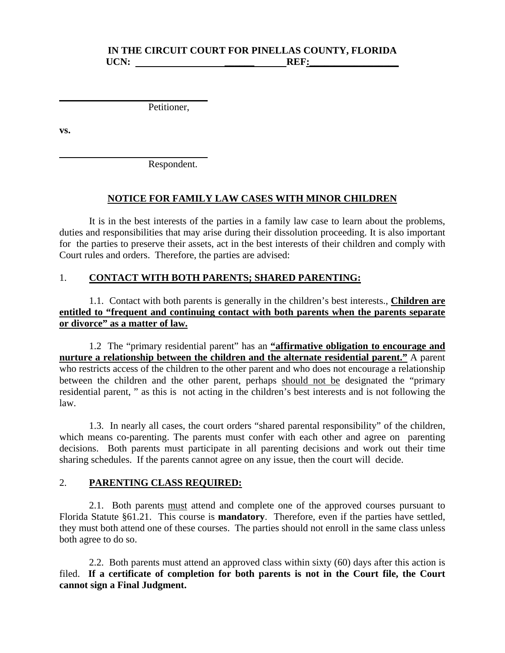#### **IN THE CIRCUIT COURT FOR PINELLAS COUNTY, FLORIDA**  UCN: **REF:**

Petitioner,

**vs.** 

Respondent.

#### **NOTICE FOR FAMILY LAW CASES WITH MINOR CHILDREN**

It is in the best interests of the parties in a family law case to learn about the problems, duties and responsibilities that may arise during their dissolution proceeding. It is also important for the parties to preserve their assets, act in the best interests of their children and comply with Court rules and orders. Therefore, the parties are advised:

#### 1. **CONTACT WITH BOTH PARENTS; SHARED PARENTING:**

 1.1. Contact with both parents is generally in the children's best interests., **Children are entitled to "frequent and continuing contact with both parents when the parents separate or divorce" as a matter of law.**

 1.2 The "primary residential parent" has an **"affirmative obligation to encourage and nurture a relationship between the children and the alternate residential parent."** A parent who restricts access of the children to the other parent and who does not encourage a relationship between the children and the other parent, perhaps should not be designated the "primary residential parent, " as this is not acting in the children's best interests and is not following the law.

 1.3. In nearly all cases, the court orders "shared parental responsibility" of the children, which means co-parenting. The parents must confer with each other and agree on parenting decisions. Both parents must participate in all parenting decisions and work out their time sharing schedules. If the parents cannot agree on any issue, then the court will decide.

#### 2. **PARENTING CLASS REQUIRED:**

2.1. Both parents must attend and complete one of the approved courses pursuant to Florida Statute §61.21. This course is **mandatory**. Therefore, even if the parties have settled, they must both attend one of these courses. The parties should not enroll in the same class unless both agree to do so.

 2.2. Both parents must attend an approved class within sixty (60) days after this action is filed. **If a certificate of completion for both parents is not in the Court file, the Court cannot sign a Final Judgment.**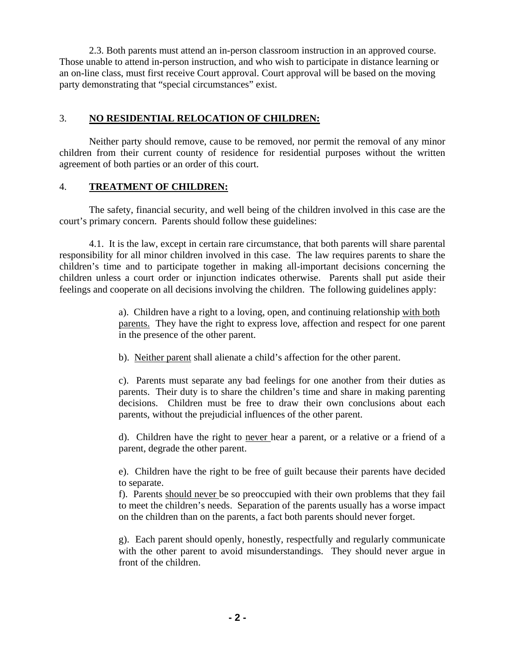2.3. Both parents must attend an in-person classroom instruction in an approved course. Those unable to attend in-person instruction, and who wish to participate in distance learning or an on-line class, must first receive Court approval. Court approval will be based on the moving party demonstrating that "special circumstances" exist.

#### 3. **NO RESIDENTIAL RELOCATION OF CHILDREN:**

 Neither party should remove, cause to be removed, nor permit the removal of any minor children from their current county of residence for residential purposes without the written agreement of both parties or an order of this court.

#### 4. **TREATMENT OF CHILDREN:**

 The safety, financial security, and well being of the children involved in this case are the court's primary concern. Parents should follow these guidelines:

 4.1. It is the law, except in certain rare circumstance, that both parents will share parental responsibility for all minor children involved in this case. The law requires parents to share the children's time and to participate together in making all-important decisions concerning the children unless a court order or injunction indicates otherwise. Parents shall put aside their feelings and cooperate on all decisions involving the children. The following guidelines apply:

> a). Children have a right to a loving, open, and continuing relationship with both parents. They have the right to express love, affection and respect for one parent in the presence of the other parent.

b). Neither parent shall alienate a child's affection for the other parent.

c). Parents must separate any bad feelings for one another from their duties as parents. Their duty is to share the children's time and share in making parenting decisions. Children must be free to draw their own conclusions about each parents, without the prejudicial influences of the other parent.

d). Children have the right to never hear a parent, or a relative or a friend of a parent, degrade the other parent.

e). Children have the right to be free of guilt because their parents have decided to separate.

f). Parents should never be so preoccupied with their own problems that they fail to meet the children's needs. Separation of the parents usually has a worse impact on the children than on the parents, a fact both parents should never forget.

g). Each parent should openly, honestly, respectfully and regularly communicate with the other parent to avoid misunderstandings. They should never argue in front of the children.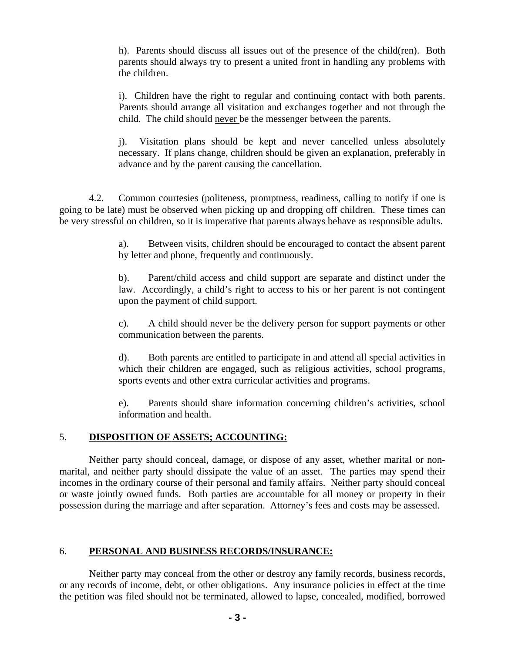h). Parents should discuss all issues out of the presence of the child(ren). Both parents should always try to present a united front in handling any problems with the children.

i). Children have the right to regular and continuing contact with both parents. Parents should arrange all visitation and exchanges together and not through the child. The child should never be the messenger between the parents.

j). Visitation plans should be kept and never cancelled unless absolutely necessary. If plans change, children should be given an explanation, preferably in advance and by the parent causing the cancellation.

 4.2. Common courtesies (politeness, promptness, readiness, calling to notify if one is going to be late) must be observed when picking up and dropping off children. These times can be very stressful on children, so it is imperative that parents always behave as responsible adults.

> a). Between visits, children should be encouraged to contact the absent parent by letter and phone, frequently and continuously.

> b). Parent/child access and child support are separate and distinct under the law. Accordingly, a child's right to access to his or her parent is not contingent upon the payment of child support.

> c). A child should never be the delivery person for support payments or other communication between the parents.

> d). Both parents are entitled to participate in and attend all special activities in which their children are engaged, such as religious activities, school programs, sports events and other extra curricular activities and programs.

> e). Parents should share information concerning children's activities, school information and health.

#### 5. **DISPOSITION OF ASSETS; ACCOUNTING:**

 Neither party should conceal, damage, or dispose of any asset, whether marital or nonmarital, and neither party should dissipate the value of an asset. The parties may spend their incomes in the ordinary course of their personal and family affairs. Neither party should conceal or waste jointly owned funds. Both parties are accountable for all money or property in their possession during the marriage and after separation. Attorney's fees and costs may be assessed.

### 6. **PERSONAL AND BUSINESS RECORDS/INSURANCE:**

 Neither party may conceal from the other or destroy any family records, business records, or any records of income, debt, or other obligations. Any insurance policies in effect at the time the petition was filed should not be terminated, allowed to lapse, concealed, modified, borrowed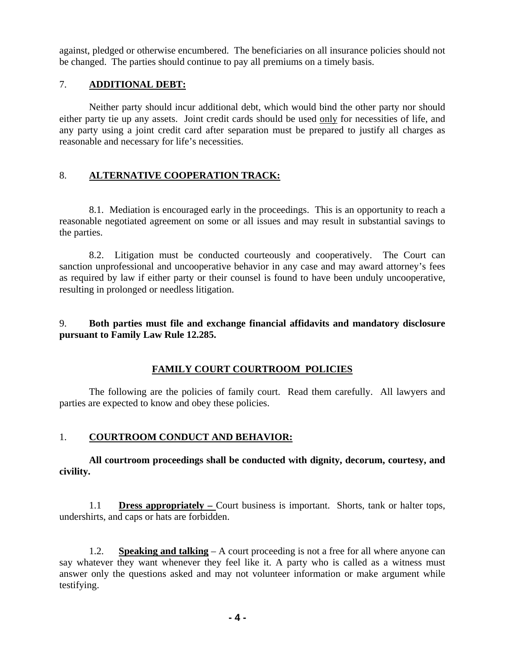against, pledged or otherwise encumbered. The beneficiaries on all insurance policies should not be changed. The parties should continue to pay all premiums on a timely basis.

## 7. **ADDITIONAL DEBT:**

 Neither party should incur additional debt, which would bind the other party nor should either party tie up any assets. Joint credit cards should be used only for necessities of life, and any party using a joint credit card after separation must be prepared to justify all charges as reasonable and necessary for life's necessities.

## 8. **ALTERNATIVE COOPERATION TRACK:**

 8.1. Mediation is encouraged early in the proceedings. This is an opportunity to reach a reasonable negotiated agreement on some or all issues and may result in substantial savings to the parties.

 8.2. Litigation must be conducted courteously and cooperatively. The Court can sanction unprofessional and uncooperative behavior in any case and may award attorney's fees as required by law if either party or their counsel is found to have been unduly uncooperative, resulting in prolonged or needless litigation.

## 9. **Both parties must file and exchange financial affidavits and mandatory disclosure pursuant to Family Law Rule 12.285.**

# **FAMILY COURT COURTROOM POLICIES**

 The following are the policies of family court. Read them carefully. All lawyers and parties are expected to know and obey these policies.

### 1. **COURTROOM CONDUCT AND BEHAVIOR:**

**All courtroom proceedings shall be conducted with dignity, decorum, courtesy, and civility.** 

1.1 **Dress appropriately –** Court business is important. Shorts, tank or halter tops, undershirts, and caps or hats are forbidden.

 1.2. **Speaking and talking** – A court proceeding is not a free for all where anyone can say whatever they want whenever they feel like it. A party who is called as a witness must answer only the questions asked and may not volunteer information or make argument while testifying.